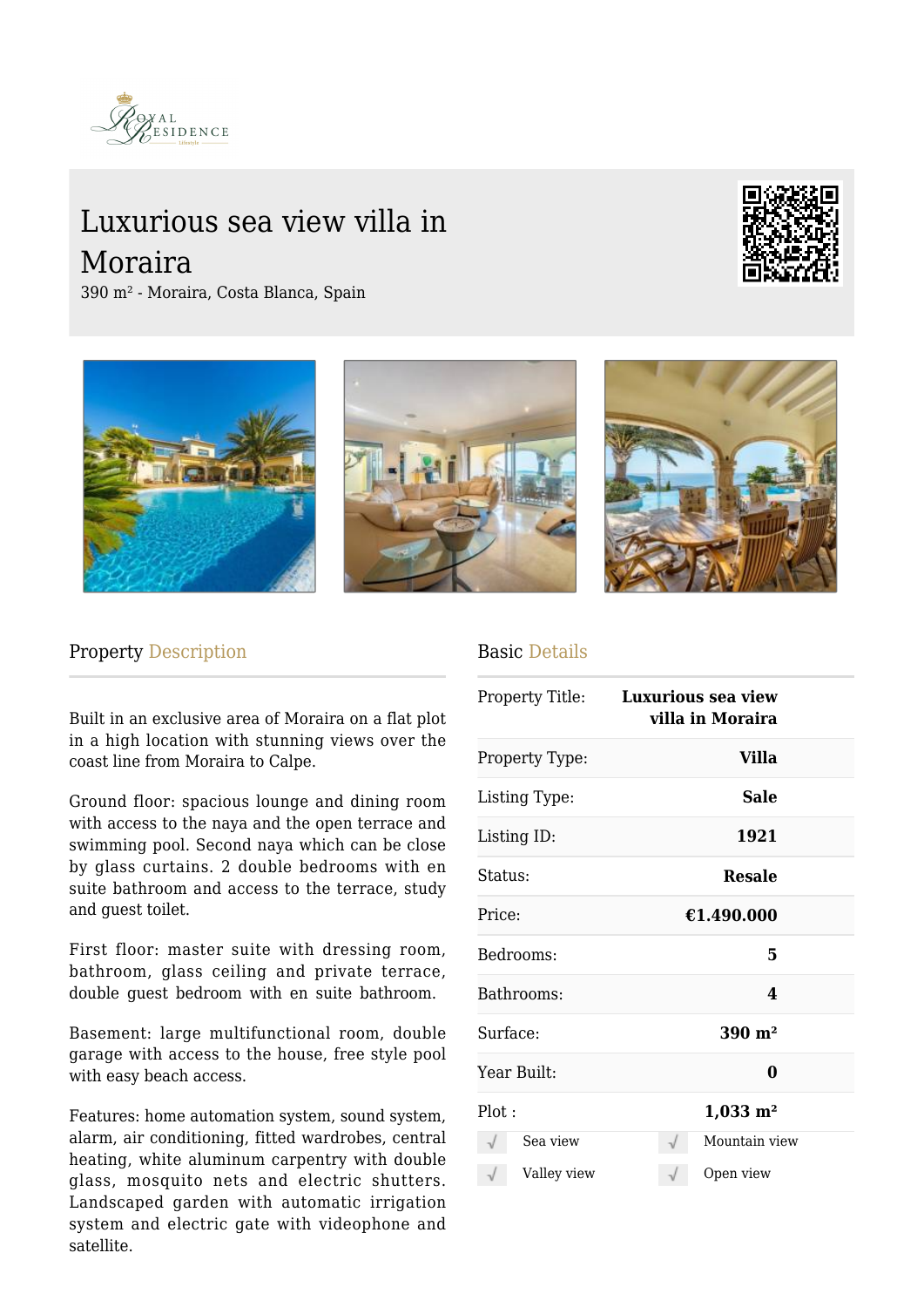

## Luxurious sea view villa in Moraira



390 m² - Moraira, Costa Blanca, Spain



## Property Description

Built in an exclusive area of Moraira on a flat plot in a high location with stunning views over the coast line from Moraira to Calpe.

Ground floor: spacious lounge and dining room with access to the naya and the open terrace and swimming pool. Second naya which can be close by glass curtains. 2 double bedrooms with en suite bathroom and access to the terrace, study and guest toilet.

First floor: master suite with dressing room, bathroom, glass ceiling and private terrace, double guest bedroom with en suite bathroom.

Basement: large multifunctional room, double garage with access to the house, free style pool with easy beach access.

Features: home automation system, sound system, alarm, air conditioning, fitted wardrobes, central heating, white aluminum carpentry with double glass, mosquito nets and electric shutters. Landscaped garden with automatic irrigation system and electric gate with videophone and satellite.

## Basic Details

| Property Title: |             |                       | <b>Luxurious sea view</b><br>villa in Moraira |  |  |
|-----------------|-------------|-----------------------|-----------------------------------------------|--|--|
| Property Type:  |             |                       | <b>Villa</b>                                  |  |  |
| Listing Type:   |             |                       | <b>Sale</b>                                   |  |  |
| Listing ID:     |             | 1921                  |                                               |  |  |
| Status:         |             | <b>Resale</b>         |                                               |  |  |
| Price:          |             | €1.490.000            |                                               |  |  |
| Bedrooms:       |             |                       | 5                                             |  |  |
| Bathrooms:      |             |                       | 4                                             |  |  |
| Surface:        |             | $390 \; \mathrm{m}^2$ |                                               |  |  |
| Year Built:     |             |                       | 0                                             |  |  |
| Plot:           |             |                       | $1,033 \; \mathrm{m}^2$                       |  |  |
|                 | Sea view    |                       | Mountain view                                 |  |  |
|                 | Valley view |                       | Open view                                     |  |  |